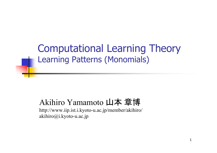Computational Learning Theory Learning Patterns (Monomials)

#### Akihiro Yamamoto 山本 章博

http://www.iip.ist.i.kyoto-u.ac.jp/member/akihiro/ akihiro@i.kyoto-u.ac.jp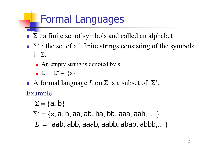### Formal Languages

- $\blacksquare$   $\Sigma$  : a finite set of symbols and called an alphabet
- $\blacksquare$   $\sum$  : the set of all finite strings consisting of the symbols in  $\Sigma$ .
	- An empty string is denoted by  $\varepsilon$ .
	- $\Box^+=\Sigma^+$  $\{3\}$  -  $\{5\}$
- A formal language L on  $\Sigma$  is a subset of  $\Sigma$ ∗ .

Example

$$
\Sigma = \{a, b\}
$$
  

$$
\Sigma^* = \{\epsilon, a, b, aa, ab, ba, bb, aaa, aab,... \}
$$
  

$$
L = \{aab, abb, aaab, aabb, abab, abbb,... \}
$$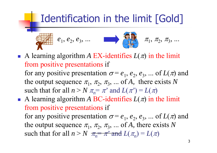## Identification in the limit [Gold]

$$
e_1, e_2, e_3, ...
$$
  $\overline{a_1, a_2, a_3, ...}$ 

A learning algorithm A EX-identifies  $L(\pi)$  in the limit from positive presentations if

for any positive presentation  $\sigma = e_1, e_2, e_3, ...$  of  $L(\pi)$  and the output sequence  $\pi_1$ ,  $\pi_2$ ,  $\pi_3$ , ... of *A*, there exists *N* such that for all  $n > N$   $\pi_{n} = \pi'$  and  $L(\pi') = L(\pi)$ 

A learning algorithm A BC-identifies  $L(\pi)$  in the limit from positive presentations if for any positive presentation  $\sigma = e_1, e_2, e_3, ...$  of  $L(\pi)$  and the output sequence  $\pi_1$ ,  $\pi_2$ ,  $\pi_3$ , ... of *A*, there exists *N* 

such that for all  $n > N$   $\pi_{n} = \pi$  and  $L(\pi_{n}) = L(\pi)$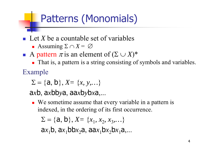#### Patterns (Monomials)

- Let X be a countable set of variables
	- **•** Assuming  $\Sigma \cap X = \varnothing$
- A pattern  $\pi$  is an element of  $(\Sigma \cup X)^*$ 
	- **That is, a pattern is a string consisting of symbols and variables.**

Example

 $\Sigma = \{a, b\}, X = \{x, y, ...\}$ 

axb, axbbya, aaxbybxa,...

■ We sometime assume that every variable in a pattern is indexed, in the ordering of its first occurrence.

$$
\Sigma = \{a, b\}, X = \{x_1, x_2, x_3, \dots\}
$$

$$
ax_1b, ax_1bbx_2a, aax_1bx_2bx_1a, \dots
$$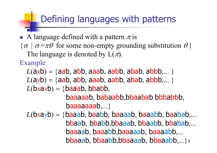#### Defining languages with patterns

A language defined with a pattern  $\pi$  is  $\{\sigma \mid \sigma = \pi \theta \text{ for some non-empty grounding substitution } \theta \}$ The language is denoted by  $L(\pi)$ . Example  $L(axb) = \{aab, abb, aaab, aabb, abab, abbb, \ldots \}$  $L(ayb) = \{aab, abb, aaab, aabb, abab, abbb, \ldots \}$ 

```
L(bxaxb) = \{baaab, bbabb,
```
baaaaab, babaabb,bbaabab bbbabbb, baaaaaaab,...}

L(bxayb) = {baaab, baabb, baaaab, baaabb, baabab,... bbaab, bbabb,bbaaab, bbaabb, bbabab,... baaaab, baaabb,baaaaab, baaaabb,... bba a a b bba a b bbba aaa b bba aab b 5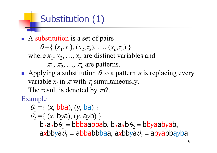## Substitution (1)

A substitution is a set of pairs

 $\theta = \{ (x_1, \tau_1), (x_2, \tau_2), ..., (x_n, \tau_n) \}$ where  $x_1, x_2, ..., x_n$  are distinct variables and

 $\pi_1$ ,  $\pi_2$ , ...,  $\pi_n$  are patterns.

Applying a substitution  $\theta$  to a pattern  $\pi$  is replacing every variable  $x_i$  in  $\pi$  with  $\tau_i$  simultaneously.

The result is denoted by  $\pi\theta$ .

Example

 $\theta_1 = \{ (x, bba), (y, ba) \}$  $\theta_2 = \{ (x, \mathsf{bya}), (y, \mathsf{ayb}) \}$  $\mathbf{b}$ *x*a*x*b $\theta_1$  = b $\mathbf{b}$ baab $\mathbf{b}$ ab, b $x$ a*x*b $\theta_2$  = b $\mathbf{b}$ yaa $\mathbf{b}$ yab,  $\mathbf{a}x$ bb $y$ a $\theta_1$  = abbabbbaa,  $\mathbf{a}x$ bb $y$ a $\theta_2$  = ab $y$ abba $y$ ba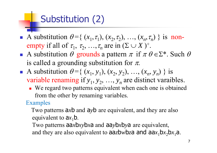### Substitution (2)

- Ħ A substitution  $\theta = \{ (x_1, \tau_1), (x_2, \tau_2), ..., (x_n, \tau_n) \}$  is nonempty if all of  $\tau_1$ ,  $\tau_2$ , ...,  $\tau_n$  are in  $(\Sigma \cup X)^+$ .
- A substitution  $\theta$  grounds a pattern  $\pi$  if  $\pi \theta \in \Sigma^*$ . Such  $\theta$ is called a grounding substitution for  $\pi$ .
- F A substitution  $\theta = \{ (x_1, y_1), (x_2, y_2), ..., (x_n, y_n) \}$  is variable renaming if  $y_1, y_2, ..., y_n$  are distinct varaibles.
	- We regard two patterns equivalent when each one is obtained from the other by renaming variables.

#### Examples

- Two patterns <sup>a</sup>*x*b and <sup>a</sup>*y*b are equivalent, and they are also equivalent to  $ax_1b$ .
- Two patterns aa*x*b*xy*b*x*<sup>a</sup> and aa*y*b*x*b*y*<sup>a</sup> are equivalent, and they are also equivalent to  $a\overline{a}z$ b*w*b<sub>*z*</sub>a and  $a\overline{a}x_1$ b $x_2$ b $x_1$ a.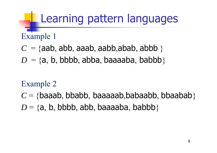## Learning pattern languages

Example 1

- $C=\{ \mathsf{aab}, \mathsf{abb}, \mathsf{aaab}, \mathsf{aabb}, \mathsf{abab}, \mathsf{abbb} \ \}$
- $D = \{a, b, bbbb, abba, baaabaa, babbb\}$

#### Example 2

 $C = \{$ baaab, bbabb, baaaaab,babaabb, bbaabab $\}$  $D = \{a, b, b$ bbb, abb, baaaaba, babbb $\}$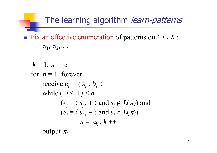#### The learning algorithm learn-patterns

Fix an effective enumeration of patterns on  $\Sigma \cup X$ :  $\pi$ <sub>1</sub>,  $\pi$ <sub>2</sub>,...,

$$
k = 1, \pi = \pi_1
$$
  
for  $n = 1$  forever  
receive  $e_n = \langle s_n, b_n \rangle$   
while  $(0 \le \exists j \le n$   
 $(e_j = \langle s_j, + \rangle \text{ and } s_j \notin L(\pi))$  and  
 $(e_j = \langle s_j, - \rangle \text{ and } s_j \in L(\pi))$   
 $\pi = \pi_k$ ;  $k +$ 

output  $\pi_{\!k}$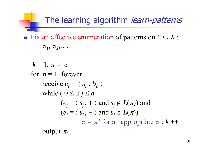The learning algorithm learn-patterns

Fix an effective enumeration of patterns on  $\Sigma \cup X$ :  $\pi$ <sub>1</sub>,  $\pi$ <sub>2</sub>,...,

$$
k = 1, \pi = \pi_1
$$
  
for  $n = 1$  forever  
receive  $e_n = \langle s_n, b_n \rangle$   
while  $(0 \le \exists j \le n$   
 $(e_j = \langle s_j, + \rangle \text{ and } s_j \notin L(\pi))$  and  
 $(e_j = \langle s_j, - \rangle \text{ and } s_j \in L(\pi))$   
 $\pi = \pi'$  for an appropriate  $\pi$ ';  $k +$ 

output  $\pi_{\!k}$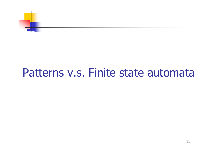

### Patterns v.s. Finite state automata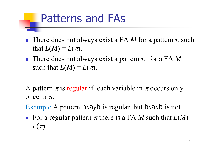## Patterns and FAs

- p. There does not always exist a FA M for a pattern  $\pi$  such that  $L(M) = L(\pi)$ .
- There does not always exist a pattern  $\pi$  for a FA M such that  $L(M) = L(\pi)$ .

A pattern  $\pi$  is regular if each variable in  $\pi$  occurs only once in  $\pi$ .

Example A pattern bxayb is regular, but bxaxb is not.

For a regular pattern  $\pi$  there is a FA M such that  $L(M)$  =  $L(\pi).$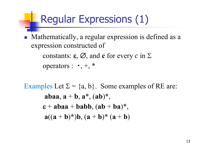### Regular Expressions (1)

**Mathematically, a regular expression is defined as a** expression constructed of

> constants:  $\boldsymbol{\varepsilon}, \boldsymbol{\varnothing},$  and  $\boldsymbol{\mathfrak{c}}$  for every  $c$  in  $\Sigma$ operators :  $\,$  ,  $+$ ,  $^*$

Examples Let  $\Sigma = \{a, b\}$ . Some examples of RE are:  $a\,$ **b** $a$ a,  $a + b$ ,  $a^*$ ,  $(ab)^*$ ,  $a^*$  + **abaa** <sup>+</sup>**babb**, (**ab** <sup>+</sup>**ba**)\*,  $a((a + b)*b)$ ,  $(a + b)* (a + b)$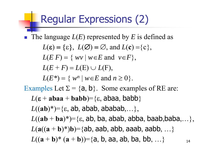#### Regular Expressions (2)

Ħ ■ The language *L*(*E*) represented by *E* is defined as  $L(\varepsilon) = {\varepsilon}, L(\emptyset) = \emptyset, \text{ and } L(\mathbf{c}) = {\varepsilon},$  $L(E|F) = \{ wv \mid w \in E \text{ and } v \in F \},\$  $L(E+F) = L(E) \cup L(F)$ ,  $L(E^*) = \{ w$  $n \mid w \in E$  and  $n \geq 0$ . Examples Let  $\Sigma = \{a, b\}$ . Some examples of RE are:  $L(\varepsilon + \mathbf{abaa} + \mathbf{babb}) = \{\varepsilon, \mathbf{abaa}, \mathbf{babb}\}$  $L((ab)^*) = \{\varepsilon, ab, abab, ababab,...\},\$  $L((ab + ba)^*) = \{\epsilon, ab, ba, abab, abba, baab,baba, \ldots\},$ L( $a((a + b)*b) = {ab, aab, abb, aaab, aabb, ...}$  $L((\mathbf{a} + \mathbf{b})^* (\mathbf{a} + \mathbf{b})) = \{a, b, aa, ab, ba, bb, ... \}$  14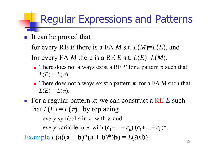#### Regular Expressions and Patterns

It can be proved that

for every RE *E* there is a FA *M* s.t. *L* ( *M*)= *L* ( *E*), and for every FA *M* there is a RE *E* s.t.  $L(E)=L(M)$ .

- **There does not always exist a RE E for a pattern**  $\pi$  **such that**  $L(E) = L(\pi).$
- **There does not always exist a pattern**  $\pi$  **for a FA M such that**  $L(E) = L(\pi).$
- For a regular pattern  $\pi$ , we can construct a RE E such that  $L(E) = L(\pi)$ , by replacing

every symbol  $c$  in  $\pi$  with **c**, and

every variable in  $\pi$  with  $(c_1 + ... + c_n)(c_1 + ... + c_n)^*$ .

Example  $L(\mathbf{a}((\mathbf{a} + \mathbf{b})^*(\mathbf{a} + \mathbf{b}))^*)\mathbf{b}) = L(\mathbf{a}x\mathbf{b})$  $\big)$  15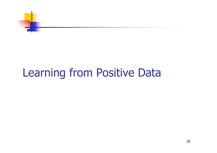

## Learning from Positive Data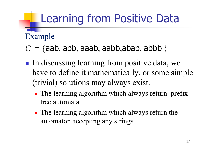## Learning from Positive Data

Example

- $C=\{ \mathsf{aab}, \mathsf{abb}, \mathsf{aaab}, \mathsf{aabb}, \mathsf{abab}, \mathsf{abbb} \ \}$
- In discussing learning from positive data, we have to define it mathematically, or some simple (trivial) solutions may always exist.
	- **The learning algorithm which always return prefix** tree automata.
	- **The learning algorithm which always return the** automaton accepting any strings.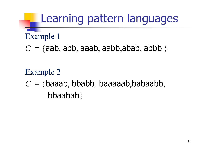## Learning pattern languages

Example 1

 $C=\{ \mathsf{aab}, \mathsf{abb}, \mathsf{aaab}, \mathsf{aabb}, \mathsf{abab}, \mathsf{abbb} \ \}$ 

Example 2  $C = \{$ baaab, bbabb, baaaaab,babaabb,  $bb$ aa $bab$ a $\}$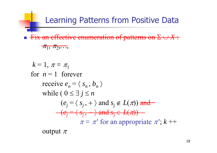Learning Patterns from Positive Data

 $\overline{\phantom{a}}$ **Fix an effective enumeration of patterns on**  $\Sigma \cup X$ **:** 

$$
\pi_1, \pi_2, \ldots,
$$

$$
k = 1, \pi = \pi_1
$$
  
for  $n = 1$  forever  
receive  $e_n = \langle s_n, b_n \rangle$   
while  $(0 \le \exists j \le n$   
 $(e_j = \langle s_j, + \rangle \text{ and } s_j \notin L(\pi)) \text{ and}$   
 $\frac{\langle e_j - \langle s_j, + \rangle \rangle}{\langle s_j, + \rangle \langle s_j - \rangle} = \frac{L(\pi_1)}{\pi_1} \text{ for an appropriate } \pi^*; k + \frac{L(\pi_2)}{\pi_2} \text{ for an appropriate } \pi^*; k + \frac{L(\pi_1)}{\pi_1} \text{ for an appropriate } \pi^*; k + \frac{L(\pi_2)}{\pi_2} \text{ for an appropriate } \pi^*; k + \frac{L(\pi_1)}{\pi_1} \text{ for an appropriate } \pi^*; k + \frac{L(\pi_1)}{\pi_1} \text{ for an appropriate } \pi^*; k + \frac{L(\pi_2)}{\pi_1} \text{ for an appropriate } \pi^*; k + \frac{L(\pi_1)}{\pi_1} \text{ for an appropriate } \pi^*; k + \frac{L(\pi_1)}{\pi_1} \text{ for an appropriate } \pi^*; k + \frac{L(\pi_2)}{\pi_1} \text{ for an appropriate } \pi^*; k + \frac{L(\pi_1)}{\pi_1} \text{ for an appropriate } \pi^*; k + \frac{L(\pi_1)}{\pi_1} \text{ for an appropriate } \pi^*; k + \frac{L(\pi_2)}{\pi_1} \text{ for an appropriate } \pi^*; k + \frac{L(\pi_1)}{\pi_1} \text{ for an appropriate } \pi^*; k + \frac{L(\pi_1)}{\pi_1} \text{ for an appropriate } \pi^*; k + \frac{L(\pi_2)}{\pi_1} \text{ for an appropriate } \pi^*; k + \frac{L(\pi_1)}{\pi_1} \text{ for an appropriate } \pi^*; k + \frac{L(\pi_1)}{\pi_1} \text{ for an appropriate } \pi^*; k + \frac{L(\pi_2)}{\pi_1} \text{ for an appropriate } \pi^*; k + \frac{L(\pi_1)}{\pi_1} \text{ for an appropriate } \pi^*; k + \frac{L(\pi_1)}{\pi_1} \text{ for an appropriate } \pi^*; k + \frac{L(\pi_2)}{\pi_1} \text{ for an appropriate } \pi^*; k + \frac{L$ 

output  $\pi$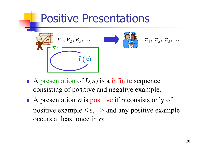#### Positive Presentations  $e_1, e_2, e_3, ...$   $\qquad \qquad$   $\qquad \qquad$   $\qquad \qquad$   $\qquad \qquad$   $\qquad \qquad$   $\qquad \qquad$   $\qquad \qquad$   $\qquad \qquad$   $\qquad \qquad$   $\qquad \qquad$   $\qquad \qquad$   $\qquad \qquad$   $\qquad$   $\qquad$   $\qquad$   $\qquad$   $\qquad$   $\qquad$   $\qquad$   $\qquad$   $\qquad$   $\qquad$   $\qquad$   $\qquad$   $\qquad$   $\qquad$   $\qquad$   $\qquad$   $e_1^{},\,e_2^{},\,e_3^{},\,...$  $\boldsymbol{\Sigma}$ ∗  $L(\pi)$

- A presentation of  $L(\pi)$  is a infinite sequence consisting of positive and negative example.
- A presentation  $\sigma$  is positive if  $\sigma$  consists only of positive example <sup>&</sup>lt; *<sup>s</sup>*, +> and any positive example occurs at least once in  $\sigma$ .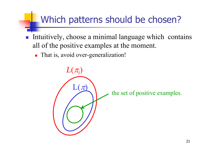#### Which patterns should be chosen?

- p. Intuitively, choose a minimal language which contains all of the positive examples at the moment.
	- **That is, avoid over-generalization!**

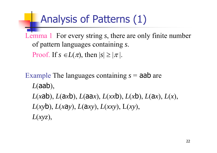### Analysis of Patterns (1)

Lemma 1 For every string *<sup>s</sup>*, there are only finite number of pattern languages containing *s*.

Proof. If  $s \in L(\pi)$ , then  $|s| \geq |\pi|$ .

Example The languages containing *<sup>s</sup>* = aab are *L* (aab), *L*(*x*ab), *L*(*axb*), *L*(*xxb*), *L*(*xb*), *L*(*ax*), *L*(*x*), *L* (*xy* b), *L* (*x* a *y*), *L* ( <sup>a</sup>*xy*), *L* (*xxy*), L(*xy*), *L* (*xyz*),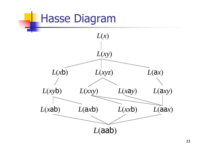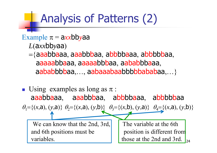## Analysis of Patterns (2)

#### $Example \pi = \frac{ax}{b}$ bbyaa

- $L$ (a*xx*bbyaa)
- ={aaabbaaa, aaabbbaa, abbbbaaa, abbbbbaa, aaaaabbaaa, aaaaabbbaa, aababbbaaa, aababbbbaa,..., aabaaabaabbbbbababaa,...}
- Using examples as long as  $\pi$ : aaabbaaa, aaabbbaa, abbbbaaa, abbbbbaa  $\theta_1 = \{(x, a), (y, a)\}$   $\theta_2 = \{(x, a), (y, b)\}$   $\theta_3 = \{(x, b), (y, a)\}$   $\theta_4 = \{(x, a), (y, b)\}$ We can know that the 2nd, 3rd,  $\parallel$  The variable at the 6th and 6th positions must be position is different from variables. those at the 2nd and 3rd.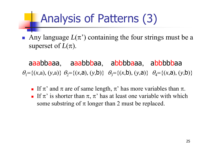## Analysis of Patterns (3)

Any language  $L(\pi)$  containing the four strings must be a superset of  $L(\pi).$ 

aaabbaaa, aaabbbaa, abbbbaaa, abbbbbaa  $\theta_1 = \{(x, a), (y, a)\}\ \theta_2 = \{(x, a), (y, b)\}\ \theta_3 = \{(x, b), (y, a)\}\ \theta_4 = \{(x, a), (y, b)\}$ 

- If  $\pi$ ' and  $\pi$  are of same length,  $\pi$ ' has more variables than  $\pi$ .
- If  $\pi'$  is shorter than  $\pi$ ,  $\pi'$  has at least one variable with which some substring of  $\pi$  longer than 2 must be replaced.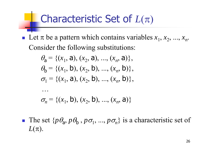#### Characteristic Set of  $L(\pi)$

Exercise Let  $\pi$  be a pattern which contains variables  $x_1, x_2, ..., x_n$ . Consider the following substitutions:

$$
\theta_{\mathsf{a}} = \{ (x_1, \mathsf{a}), (x_2, \mathsf{a}), ..., (x_n, \mathsf{a}) \},
$$
  
\n
$$
\theta_{\mathsf{b}} = \{ (x_1, \mathsf{b}), (x_2, \mathsf{b}), ..., (x_n, \mathsf{b}) \},
$$
  
\n
$$
\sigma_1 = \{ (x_1, \mathsf{a}), (x_2, \mathsf{b}), ..., (x_n, \mathsf{b}) \},
$$
  
\n...

$$
\sigma_n = \{(x_1, b), (x_2, b), ..., (x_n, a)\}
$$

**The set**  $\{p\theta_a, p\theta_b, p\sigma_1, ..., p\sigma_n\}$  is a characteristic set of  $L(\pi).$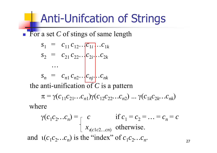## Anti-Unifcation of Strings

**For a set C of stings of same length** 

$$
S_1 = c_{11} c_{12} \cdots c_{1i} c_{1i} \cdots c_{1k}
$$
  
\n
$$
S_2 = c_{21} c_{22} \cdots c_{2i} c_{2i} \cdots c_{2k}
$$
  
\n
$$
\cdots
$$
  
\n
$$
S_n = c_{n1} c_{n2} \cdots c_{nj} c_{nj} \cdots c_{nk}
$$

the anti-unification of *C* is a pattern

$$
\pi = \gamma(c_{11}c_{21}...c_{n1})\gamma(c_{12}c_{22}...c_{n2})...\gamma(c_{1k}c_{2k}...c_{nk})
$$

where

 $\gamma(c_1$  $c_2...c_n$  =  $c$  if  $c_1 = c_2 = ... = c_n = c$ *x* ( *c* 1 *c* 2*…cn* ) otherwise. and  $\iota(c_1c_2...c_n)$  is the "index" of  $c_1c_2...c_n$ *<sup>n</sup>*. 27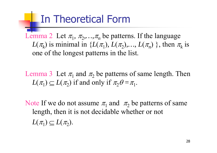#### In Theoretical Form

Lemma 2 Let  $\pi_1$ ,  $\pi_2$ , ...,  $\pi_n$  be patterns. If the language  $L(\pi_k)$  is minimal in  $\{L(\pi_1), L(\pi_2),..., L(\pi_n)\}$ , then  $\pi_k$  is one of the longest patterns in the list.

Lemma 3 Let  $\pi_1$  and  $\pi_2$  be patterns of same length. Then  $L(\pi_1) \subseteq L(\pi_2)$  if and only if  $\pi_2 \theta$  $=\pi$ <sub>1</sub>.

Note If we do not assume  $\pi_1$  and  $\pi_2$  be patterns of same length, then it is not decidable whether or not  $L(\pi_1) \subseteq L(\pi_2)$ .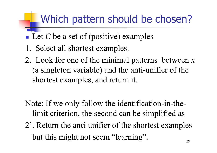#### Which pattern should be chosen?

- $\blacksquare$  Let C be a set of (positive) examples
- 1. Select all shortest examples.
- 2. Look for one of the minimal patterns between *x* (a singleton variable) and the anti-unifier of the shortest examples, and return it.
- Note: If we only follow the identification-in-thelimit criterion, the second can be simplified as 2'. Return the anti-unifier of the shortest examples but this might not seem "learning".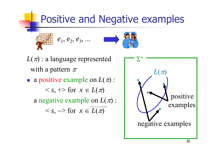#### Positive and Negative examples



$$
e_1, e_2, e_3, ...
$$



- $L(\pi)$  : a language represented with a pattern  $\pi$
- **a** positive example on  $L(\pi)$ :  $\langle s, +\rangle$  for  $x \in L(\pi)$ 
	- a negative example on  $L(\pi)$  :  $\langle s, -\rangle$  for  $x \in L(\pi)$

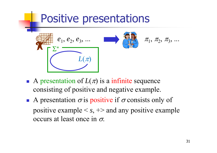

- A presentation of  $L(\pi)$  is a infinite sequence consisting of positive and negative example.
- A presentation  $\sigma$  is positive if  $\sigma$  consists only of positive example <sup>&</sup>lt; *<sup>s</sup>*, +> and any positive example occurs at least once in  $\sigma$ .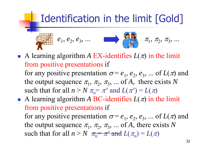## Identification in the limit [Gold]

$$
e_1, e_2, e_3, \ldots
$$
  $\begin{matrix} \overbrace{\mathbb{R}} \\ \overbrace{\mathbb{R}} \end{matrix}$   $\pi_1, \pi_2, \pi_3, \ldots$ 

A learning algorithm A EX-identifies  $L(\pi)$  in the limit from positive presentations if

for any positive presentation  $\sigma = e_1, e_2, e_3, ...$  of  $L(\pi)$  and the output sequence  $\pi_1$ ,  $\pi_2$ ,  $\pi_3$ , ... of *A*, there exists *N* such that for all  $n > N$   $\pi_{n} = \pi'$  and  $L(\pi') = L(\pi)$ 

A learning algorithm A BC-identifies  $L(\pi)$  in the limit from positive presentations if for any positive presentation  $\sigma = e_1, e_2, e_3, ...$  of  $L(\pi)$  and the output sequence  $\pi_1$ ,  $\pi_2$ ,  $\pi_3$ , ... of *A*, there exists *N* 

such that for all  $n > N$   $\pi_{n} = \pi$  and  $L(\pi_{n}) = L(\pi)$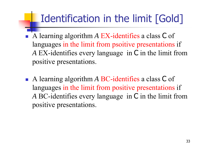### Identification in the limit [Gold]

- Ħ A learning algorithm *<sup>A</sup>* EX-identifies a class C of languages in the limit from psoitive presentations if *A* EX-identifies every language in C in the limit from positive presentations.
- A learning algorithm *<sup>A</sup>* BC-identifies a class C of languages in the limit from positive presentations if *A* BC-identifies every language in C in the limit from positive presentations.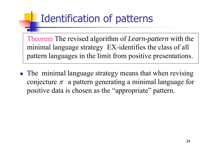### Identification of patterns

Theorem The revised algorithm of *Learn-pattern* with the minimal language strategy EX-identifies the class of all pattern languages in the limit from positive presentations.

**The minimal language strategy means that when revising** conjecture  $\pi$  a pattern generating a minimal language for positive data is chosen as the "appropriate" pattern.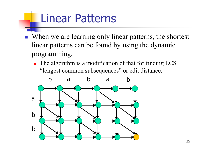## Linear Patterns

- When we are learning only linear patterns, the shortest linear patterns can be found by using the dynamic programming.
	- **The algorithm is a modification of that for finding LCS** "longest common subsequences" or edit distance.

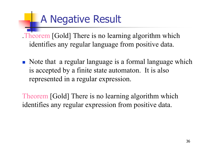## A Negative Result

.Theorem [Gold] There is no learning algorithm which identifies any regular language from positive data.

• Note that a regular language is a formal language which is accepted by a finite state automaton. It is also represented in a regular expression.

Theorem [Gold] There is no learning algorithm which identifies any regular expression from positive data.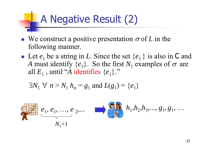## A Negative Result (2)

- **We construct a positive presentation**  $\sigma$  **of L in the** following manner.
- **Let**  $e_1$  **be a string in L. Since the set**  $\{e_1\}$  **is also in C and** *A* must identify  $\{e_1\}$ . So the first  $N_1$  examples of  $\sigma$  are all  $E_1$  , until "A identifies  $\{e_1\}$ ."

$$
\exists N_1 \forall n > N_1 h_n = g_1 \text{ and } L(g_1) = \{e_1\}
$$

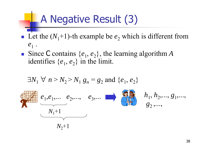## A Negative Result (3)

- **Let the**  $(N_1+1)$ **-th example be**  $e_2$  which is different from  $e_{\scriptscriptstyle 1}^{}$  .
- Since C contains  $\{e_1, e_2\}$ , the learning algorithm *A* identifies  $\{e_1, e_2\}$  in the limit.

$$
\exists N_1 \forall n > N_2 > N_1 g_n = g_2 \text{ and } \{e_1, e_2\}
$$
\n
$$
e_1, e_1, \dots, e_2, \dots, e_3, \dots \qquad \qquad \underbrace{\bigotimes_{N_1+1} \bigotimes_{S_2+1} h_1, h_2, \dots, g_1, \dots}_{S_2+1}
$$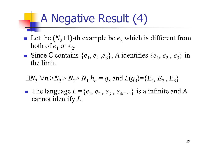# A Negative Result (4)

- **Let the**  $(N_2+1)$ **-th example be**  $e_3$  **which is different from** both of  $e_1$  or  $e_2$ .
- Since C contains  $\{e_1, e_2, e_3\}$ , *A* identifies  $\{e_1, e_2, e_3\}$  in the limit.

$$
\exists N_3 \ \forall n > N_3 > N_2 > N_1 \ h_n = g_3 \text{ and } L(g_3) = \{E_1, E_2, E_3\}
$$

p. The language  $L = \{e_1, e_2, e_3, e_4, \dots\}$  is a infinite and A cannot identify *L*.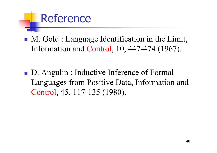

- **M.** Gold : Language Identification in the Limit, Information and Control, 10, 447-474 (1967).
- D. Angulin : Inductive Inference of Formal Languages from Positive Data, Information and Control, 45, 117-135 (1980).